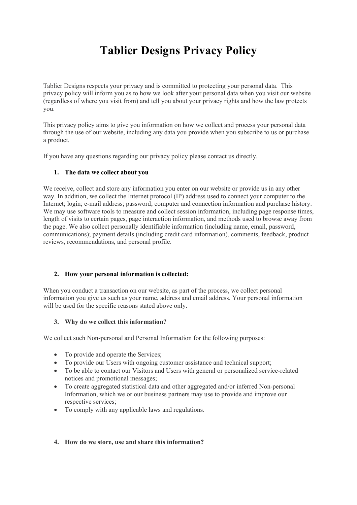# **Tablier Designs Privacy Policy**

Tablier Designs respects your privacy and is committed to protecting your personal data. This privacy policy will inform you as to how we look after your personal data when you visit our website (regardless of where you visit from) and tell you about your privacy rights and how the law protects you.

This privacy policy aims to give you information on how we collect and process your personal data through the use of our website, including any data you provide when you subscribe to us or purchase a product.

If you have any questions regarding our privacy policy please contact us directly.

# **1. The data we collect about you**

We receive, collect and store any information you enter on our website or provide us in any other way. In addition, we collect the Internet protocol (IP) address used to connect your computer to the Internet; login; e-mail address; password; computer and connection information and purchase history. We may use software tools to measure and collect session information, including page response times, length of visits to certain pages, page interaction information, and methods used to browse away from the page. We also collect personally identifiable information (including name, email, password, communications); payment details (including credit card information), comments, feedback, product reviews, recommendations, and personal profile.

# **2. How your personal information is collected:**

When you conduct a transaction on our website, as part of the process, we collect personal information you give us such as your name, address and email address. Your personal information will be used for the specific reasons stated above only.

#### **3. Why do we collect this information?**

We collect such Non-personal and Personal Information for the following purposes:

- To provide and operate the Services;
- To provide our Users with ongoing customer assistance and technical support;
- To be able to contact our Visitors and Users with general or personalized service-related notices and promotional messages;
- To create aggregated statistical data and other aggregated and/or inferred Non-personal Information, which we or our business partners may use to provide and improve our respective services;
- To comply with any applicable laws and regulations.

# **4. How do we store, use and share this information?**